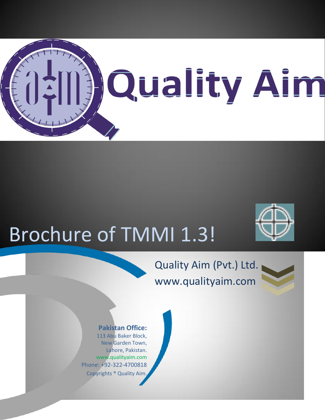

# Brochure of TMMI 1.3!

# Quality Aim (Pvt.) Ltd. www.qualityaim.com



#### **Pakistan Office:**

113 Abu Baker Block, New Garden Town, Lahore, Pakistan. www.qualityaim.com Phone: +92-322-4700818 Copyrights ® Quality Aim.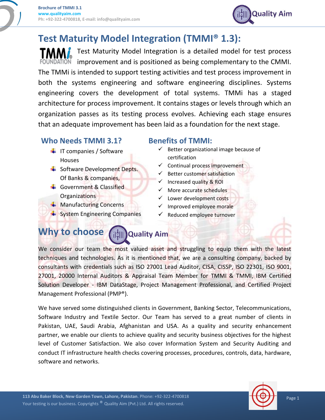

# **Test Maturity Model Integration (TMMI® 1.3):**

Test Maturity Model Integration is a detailed model for test process  $\overline{M}$  improvement and is positioned as being complementary to the CMMI. The TMMi is intended to support testing activities and test process improvement in both the systems engineering and software engineering disciplines. Systems engineering covers the development of total systems. TMMi has a staged architecture for process improvement. It contains stages or levels through which an organization passes as its testing process evolves. Achieving each stage ensures that an adequate improvement has been laid as a foundation for the next stage.

#### **Who Needs TMMI 3.1?**

- $\frac{1}{\sqrt{1}}$  IT companies / Software Houses
- Software Development Depts. Of Banks & companies,
- Government & Classified Organizations
- $\textcolor{red}{\blacktriangle}$  Manufacturing Concerns
- $\frac{1}{2}$  System Engineering Companies

#### **Benefits of TMMI:**

- $\checkmark$  Better organizational image because of certification
- $\checkmark$  Continual process improvement
- $\checkmark$  Better customer satisfaction
- $\checkmark$  Increased quality & ROI
- $\checkmark$  More accurate schedules
- $\checkmark$  Lower development costs
- Improved employee morale
- Reduced employee turnover

#### **Why to choose** a: **Mate of Alm**

We consider our team the most valued asset and struggling to equip them with the latest techniques and technologies. As it is mentioned that, we are a consulting company, backed by consultants with credentials such as ISO 27001 Lead Auditor, CISA, CISSP, ISO 22301, ISO 9001, 27001, 20000 Internal Auditors & Appraisal Team Member for TMMI & TMMI, IBM Certified Solution Developer - IBM DataStage, Project Management Professional, and Certified Project Management Professional (PMP®).

We have served some distinguished clients in Government, Banking Sector, Telecommunications, Software Industry and Textile Sector. Our Team has served to a great number of clients in Pakistan, UAE, Saudi Arabia, Afghanistan and USA. As a quality and security enhancement partner, we enable our clients to achieve quality and security business objectives for the highest level of Customer Satisfaction. We also cover Information System and Security Auditing and conduct IT infrastructure health checks covering processes, procedures, controls, data, hardware, software and networks.

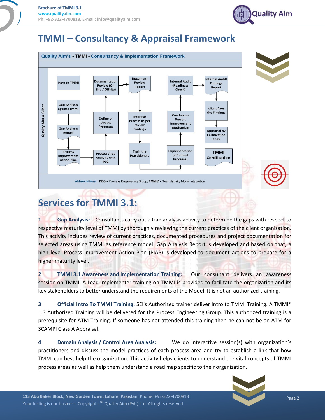

## **TMMI – Consultancy & Appraisal Framework**



# **Services for TMMI 3.1:**

**1 Gap Analysis:** Consultants carry out a Gap analysis activity to determine the gaps with respect to respective maturity level of TMMI by thoroughly reviewing the current practices of the client organization. This activity includes review of current practices, documented procedures and project documentation for selected areas using TMMI as reference model. Gap Analysis Report is developed and based on that, a high level Process Improvement Action Plan (PIAP) is developed to document actions to prepare for a higher maturity level.

**2 TMMI 3.1 Awareness and Implementation Training:** Our consultant delivers an awareness session on TMMI. A Lead Implementer training on TMMI is provided to facilitate the organization and its key stakeholders to better understand the requirements of the Model. It is not an authorized training.

**3 Official Intro To TMMI Training:** SEI's Authorized trainer deliver Intro to TMMI Training. A TMMI® 1.3 Authorized Training will be delivered for the Process Engineering Group. This authorized training is a prerequisite for ATM Training. If someone has not attended this training then he can not be an ATM for SCAMPI Class A Appraisal.

**4 Domain Analysis / Control Area Analysis:** We do interactive session(s) with organization's practitioners and discuss the model practices of each process area and try to establish a link that how TMMI can best help the organization. This activity helps clients to understand the vital concepts of TMMI process areas as well as help them understand a road map specific to their organization.

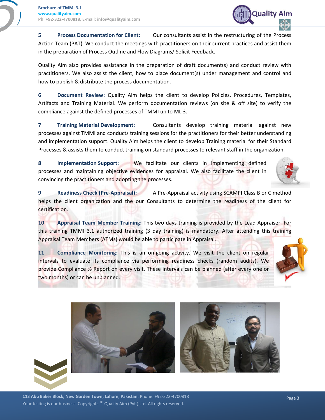

**5 Process Documentation for Client:** Our consultants assist in the restructuring of the Process Action Team (PAT). We conduct the meetings with practitioners on their current practices and assist them in the preparation of Process Outline and Flow Diagrams/ Solicit Feedback.

Quality Aim also provides assistance in the preparation of draft document(s) and conduct review with practitioners. We also assist the client, how to place document(s) under management and control and how to publish & distribute the process documentation.

**6 Document Review:** Quality Aim helps the client to develop Policies, Procedures, Templates, Artifacts and Training Material. We perform documentation reviews (on site & off site) to verify the compliance against the defined processes of TMMI up to ML 3.

**7 Training Material Development:** Consultants develop training material against new processes against TMMI and conducts training sessions for the practitioners for their better understanding and implementation support. Quality Aim helps the client to develop Training material for their Standard Processes & assists them to conduct training on standard processes to relevant staff in the organization.

**8 Implementation Support:** We facilitate our clients in implementing defined processes and maintaining objective evidences for appraisal. We also facilitate the client in convincing the practitioners and adopting the processes.



**9 Readiness Check (Pre-Appraisal):** A Pre-Appraisal activity using SCAMPI Class B or C method helps the client organization and the our Consultants to determine the readiness of the client for certification.

**10 Appraisal Team Member Training:** This two days training is provided by the Lead Appraiser. For this training TMMI 3.1 authorized training (3 day training) is mandatory. After attending this training Appraisal Team Members (ATMs) would be able to participate in Appraisal.

**11 Compliance Monitoring:** This is an on-going activity. We visit the client on regular intervals to evaluate its compliance via performing readiness checks (random audits). We provide Compliance % Report on every visit. These intervals can be planned (after every one or two months) or can be unplanned.